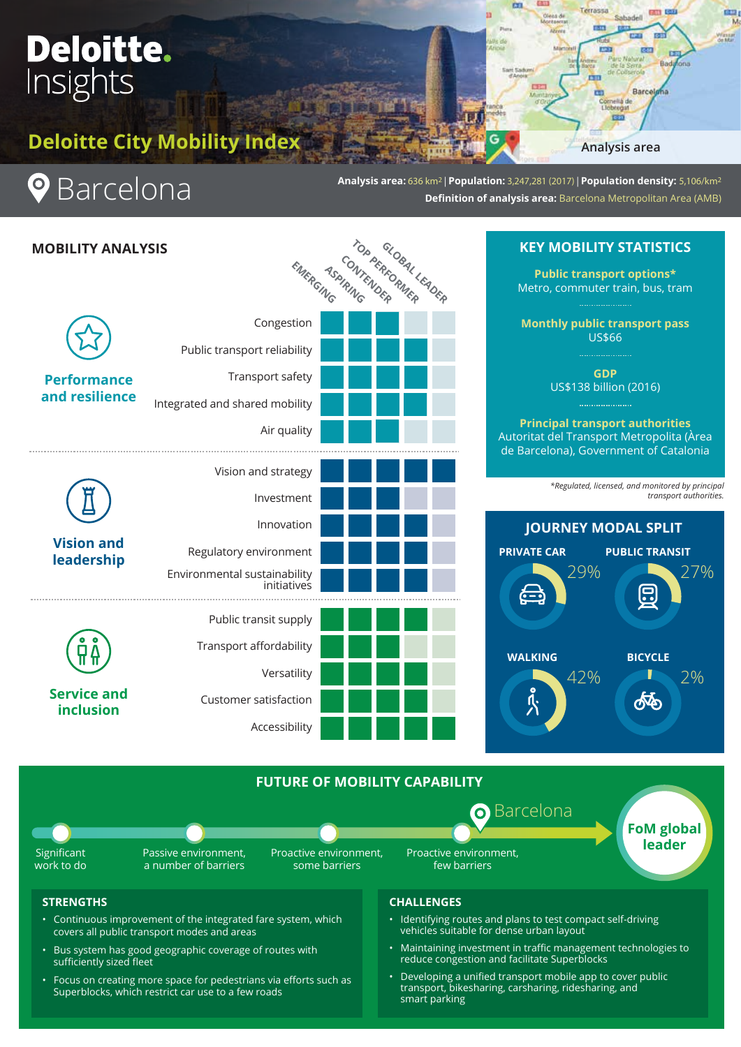# Deloitte. Insights

**Deloitte City Mobility Index**



I

**Analysis area:** 636 km2 | **Population:** 3,247,281 (2017) | **Population density:** 5,106/km2 **Definition of analysis area:** Barcelona Metropolitan Area (AMB)



## **STRENGTHS**

- Continuous improvement of the integrated fare system, which covers all public transport modes and areas
- Bus system has good geographic coverage of routes with sufficiently sized fleet
- Focus on creating more space for pedestrians via efforts such as Superblocks, which restrict car use to a few roads

### **CHALLENGES**

- Identifying routes and plans to test compact self-driving vehicles suitable for dense urban layout
- Maintaining investment in traffic management technologies to reduce congestion and facilitate Superblocks
- Developing a unified transport mobile app to cover public transport, bikesharing, carsharing, ridesharing, and smart parking

# **KEY MOBILITY STATISTICS**

**Analysis area**

Bad

Barcel

Terrassia

**Public transport options\*** Metro, commuter train, bus, tram

**Monthly public transport pass**  US\$66

US\$138 billion (2016)

**Principal transport authorities** Autoritat del Transport Metropolita (Àrea de Barcelona), Government of Catalonia

> *\*Regulated, licensed, and monitored by principal transport authorities.*

> > **FoM global leader**

ക്ക